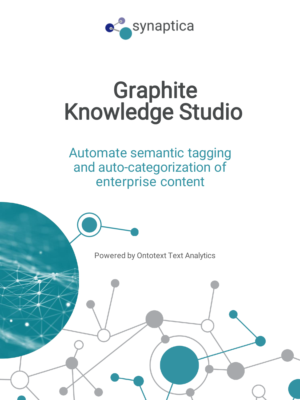

# **Graphite** Knowledge Studio

Automate semantic tagging and auto-categorization of enterprise content

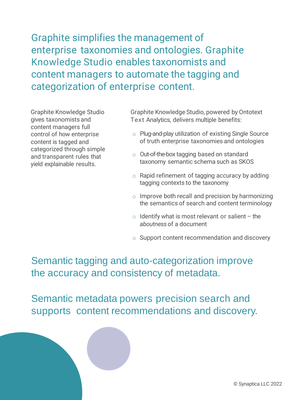Graphite simplifies the management of enterprise taxonomies and ontologies. Graphite Knowledge Studio enables taxonomists and content managers to automate the tagging and categorization of enterprise content.

Graphite Knowledge Studio gives taxonomists and content managers full control of how enterprise content is tagged and categorized through simple and transparent rules that yield explainable results.

Graphite Knowledge Studio, powered by Ontotext Text Analytics, delivers multiple benefits:

- o Plug-and-play utilization of existing Single Source of truth enterprise taxonomies and ontologies
- o Out-of-the-box tagging based on standard taxonomy semantic schema such as SKOS
- $\circ$  Rapid refinement of tagging accuracy by adding tagging contexts to the taxonomy
- $\circ$  Improve both recall and precision by harmonizing the semantics of search and content terminology
- $\circ$  Identify what is most relevant or salient the *aboutness* of a document
- o Support content recommendation and discovery

Semantic tagging and auto-categorization improve the accuracy and consistency of metadata.

Semantic metadata powers precision search and supports content recommendations and discovery.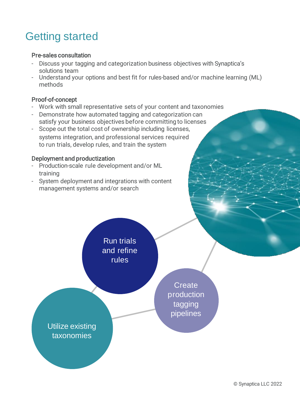## Getting started

#### Pre-sales consultation

- Discuss your tagging and categorization business objectives with Synaptica's solutions team
- Understand your options and best fit for rules-based and/or machine learning (ML) methods

#### Proof-of-concept

- Work with small representative sets of your content and taxonomies
- Demonstrate how automated tagging and categorization can satisfy your business objectives before committing to licenses
- Scope out the total cost of ownership including licenses, systems integration, and professional services required to run trials, develop rules, and train the system

#### Deployment and productization

- Production-scale rule development and/or ML training
- System deployment and integrations with content management systems and/or search

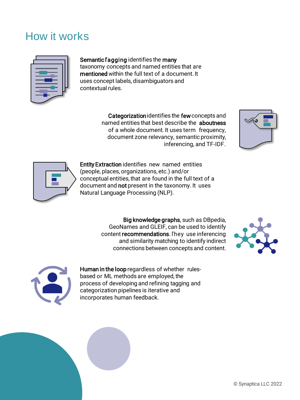### How it works



#### Semantic l'agging identifies the many

taxonomy concepts and named entities that are mentioned within the full text of a document. It uses concept labels, disambiguators and contextual rules.

> Categorizationidentifies the fewconcepts and named entities that best describe the aboutness of a whole document. It uses term frequency, document zone relevancy, semantic proximity, inferencing, and TF-IDF.





Entity Extraction identifies new named entities (people, places, organizations, etc.) and/or conceptual entities,that are found in the full text of a document and not present in the taxonomy. It uses Natural Language Processing (NLP).

> Big knowledge graphs, such as DBpedia, GeoNames and GLEIF, can be used to identify content recommendations. ľhey use inferencing and similarity matching to identify indirect connections between concepts and content.



![](_page_3_Picture_10.jpeg)

Human in the loop regardless of whether rulesbased or ML methods are employed, the process of developing and refining tagging and categorization pipelines is iterative and incorporates human feedback.